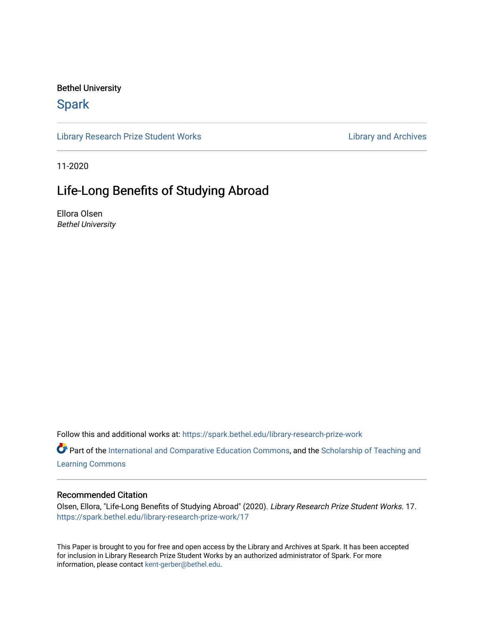## Bethel University

# **Spark**

[Library Research Prize Student Works](https://spark.bethel.edu/library-research-prize-work) **Library Access 2018** Library and Archives

11-2020

# Life-Long Benefits of Studying Abroad

Ellora Olsen Bethel University

Follow this and additional works at: [https://spark.bethel.edu/library-research-prize-work](https://spark.bethel.edu/library-research-prize-work?utm_source=spark.bethel.edu%2Flibrary-research-prize-work%2F17&utm_medium=PDF&utm_campaign=PDFCoverPages) 

Part of the [International and Comparative Education Commons,](http://network.bepress.com/hgg/discipline/797?utm_source=spark.bethel.edu%2Flibrary-research-prize-work%2F17&utm_medium=PDF&utm_campaign=PDFCoverPages) and the Scholarship of Teaching and [Learning Commons](http://network.bepress.com/hgg/discipline/1328?utm_source=spark.bethel.edu%2Flibrary-research-prize-work%2F17&utm_medium=PDF&utm_campaign=PDFCoverPages)

### Recommended Citation

Olsen, Ellora, "Life-Long Benefits of Studying Abroad" (2020). Library Research Prize Student Works. 17. [https://spark.bethel.edu/library-research-prize-work/17](https://spark.bethel.edu/library-research-prize-work/17?utm_source=spark.bethel.edu%2Flibrary-research-prize-work%2F17&utm_medium=PDF&utm_campaign=PDFCoverPages) 

This Paper is brought to you for free and open access by the Library and Archives at Spark. It has been accepted for inclusion in Library Research Prize Student Works by an authorized administrator of Spark. For more information, please contact [kent-gerber@bethel.edu.](mailto:kent-gerber@bethel.edu)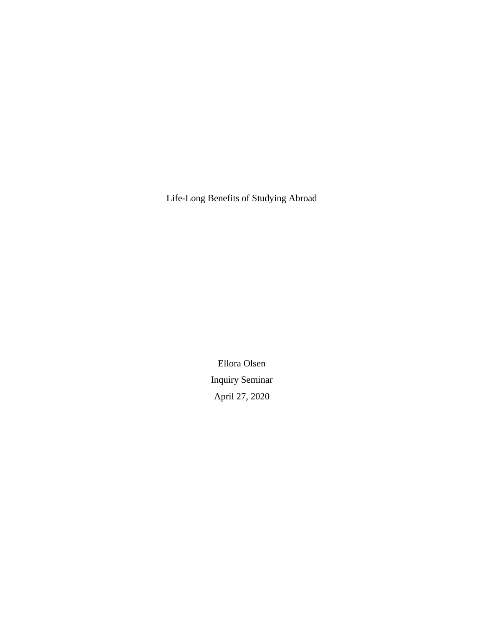Life-Long Benefits of Studying Abroad

Ellora Olsen Inquiry Seminar April 27, 2020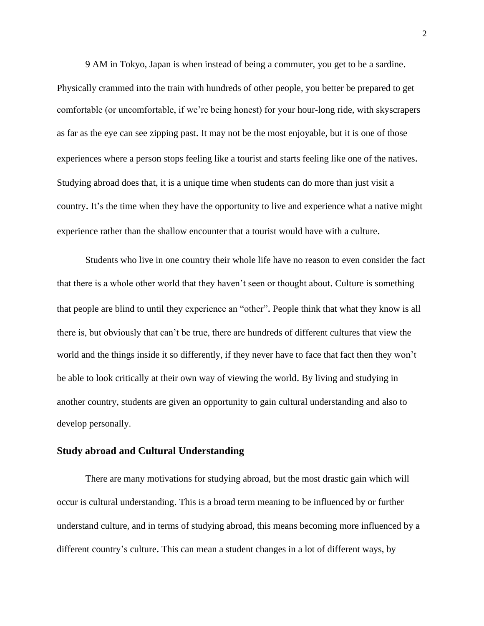9 AM in Tokyo, Japan is when instead of being a commuter, you get to be a sardine. Physically crammed into the train with hundreds of other people, you better be prepared to get comfortable (or uncomfortable, if we're being honest) for your hour-long ride, with skyscrapers as far as the eye can see zipping past. It may not be the most enjoyable, but it is one of those experiences where a person stops feeling like a tourist and starts feeling like one of the natives. Studying abroad does that, it is a unique time when students can do more than just visit a country. It's the time when they have the opportunity to live and experience what a native might experience rather than the shallow encounter that a tourist would have with a culture.

Students who live in one country their whole life have no reason to even consider the fact that there is a whole other world that they haven't seen or thought about. Culture is something that people are blind to until they experience an "other". People think that what they know is all there is, but obviously that can't be true, there are hundreds of different cultures that view the world and the things inside it so differently, if they never have to face that fact then they won't be able to look critically at their own way of viewing the world. By living and studying in another country, students are given an opportunity to gain cultural understanding and also to develop personally.

#### **Study abroad and Cultural Understanding**

There are many motivations for studying abroad, but the most drastic gain which will occur is cultural understanding. This is a broad term meaning to be influenced by or further understand culture, and in terms of studying abroad, this means becoming more influenced by a different country's culture. This can mean a student changes in a lot of different ways, by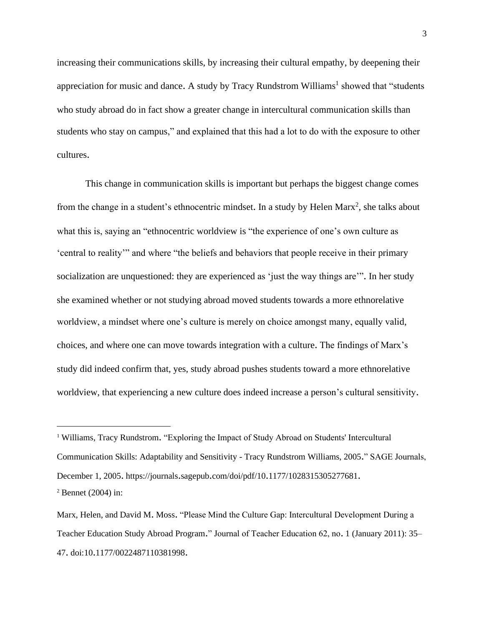increasing their communications skills, by increasing their cultural empathy, by deepening their appreciation for music and dance. A study by Tracy Rundstrom Williams<sup>1</sup> showed that "students who study abroad do in fact show a greater change in intercultural communication skills than students who stay on campus," and explained that this had a lot to do with the exposure to other cultures.

This change in communication skills is important but perhaps the biggest change comes from the change in a student's ethnocentric mindset. In a study by Helen Marx<sup>2</sup>, she talks about what this is, saying an "ethnocentric worldview is "the experience of one's own culture as 'central to reality'" and where "the beliefs and behaviors that people receive in their primary socialization are unquestioned: they are experienced as 'just the way things are'". In her study she examined whether or not studying abroad moved students towards a more ethnorelative worldview, a mindset where one's culture is merely on choice amongst many, equally valid, choices, and where one can move towards integration with a culture. The findings of Marx's study did indeed confirm that, yes, study abroad pushes students toward a more ethnorelative worldview, that experiencing a new culture does indeed increase a person's cultural sensitivity.

<sup>1</sup> Williams, Tracy Rundstrom. "Exploring the Impact of Study Abroad on Students' Intercultural Communication Skills: Adaptability and Sensitivity - Tracy Rundstrom Williams, 2005." SAGE Journals, December 1, 2005. https://journals.sagepub.com/doi/pdf/10.1177/1028315305277681.

<sup>2</sup> Bennet (2004) in:

Marx, Helen, and David M. Moss. "Please Mind the Culture Gap: Intercultural Development During a Teacher Education Study Abroad Program." Journal of Teacher Education 62, no. 1 (January 2011): 35– 47. doi:10.1177/0022487110381998.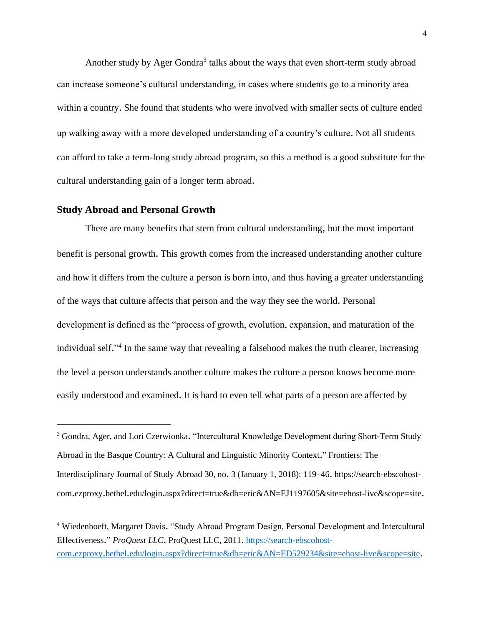Another study by Ager Gondra<sup>3</sup> talks about the ways that even short-term study abroad can increase someone's cultural understanding, in cases where students go to a minority area within a country. She found that students who were involved with smaller sects of culture ended up walking away with a more developed understanding of a country's culture. Not all students can afford to take a term-long study abroad program, so this a method is a good substitute for the cultural understanding gain of a longer term abroad.

### **Study Abroad and Personal Growth**

There are many benefits that stem from cultural understanding, but the most important benefit is personal growth. This growth comes from the increased understanding another culture and how it differs from the culture a person is born into, and thus having a greater understanding of the ways that culture affects that person and the way they see the world. Personal development is defined as the "process of growth, evolution, expansion, and maturation of the individual self."<sup>4</sup> In the same way that revealing a falsehood makes the truth clearer, increasing the level a person understands another culture makes the culture a person knows become more easily understood and examined. It is hard to even tell what parts of a person are affected by

<sup>3</sup> Gondra, Ager, and Lori Czerwionka. "Intercultural Knowledge Development during Short-Term Study Abroad in the Basque Country: A Cultural and Linguistic Minority Context." Frontiers: The Interdisciplinary Journal of Study Abroad 30, no. 3 (January 1, 2018): 119–46. https://search-ebscohostcom.ezproxy.bethel.edu/login.aspx?direct=true&db=eric&AN=EJ1197605&site=ehost-live&scope=site.

<sup>4</sup> Wiedenhoeft, Margaret Davis. "Study Abroad Program Design, Personal Development and Intercultural Effectiveness." *ProQuest LLC*. ProQuest LLC, 2011. [https://search-ebscohost](https://search-ebscohost-com.ezproxy.bethel.edu/login.aspx?direct=true&db=eric&AN=ED529234&site=ehost-live&scope=site)com.ezproxy.bethel.edu/login.[aspx?direct=true&db=eric&AN=ED529234&site=ehost-live&scope=site](https://search-ebscohost-com.ezproxy.bethel.edu/login.aspx?direct=true&db=eric&AN=ED529234&site=ehost-live&scope=site).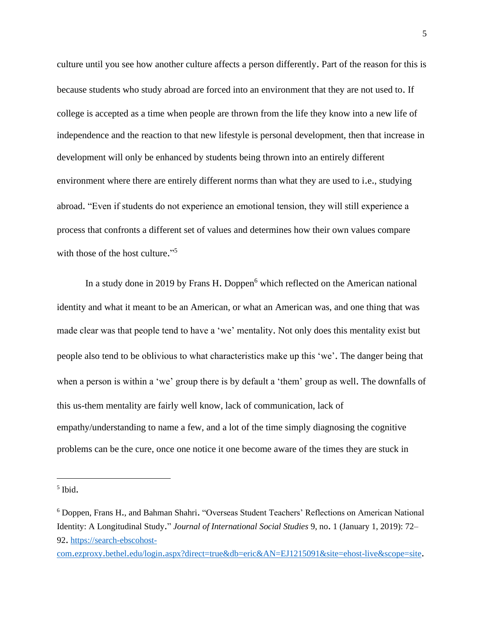culture until you see how another culture affects a person differently. Part of the reason for this is because students who study abroad are forced into an environment that they are not used to. If college is accepted as a time when people are thrown from the life they know into a new life of independence and the reaction to that new lifestyle is personal development, then that increase in development will only be enhanced by students being thrown into an entirely different environment where there are entirely different norms than what they are used to i.e., studying abroad. "Even if students do not experience an emotional tension, they will still experience a process that confronts a different set of values and determines how their own values compare with those of the host culture."<sup>5</sup>

In a study done in 2019 by Frans H. Doppen<sup>6</sup> which reflected on the American national identity and what it meant to be an American, or what an American was, and one thing that was made clear was that people tend to have a 'we' mentality. Not only does this mentality exist but people also tend to be oblivious to what characteristics make up this 'we'. The danger being that when a person is within a 'we' group there is by default a 'them' group as well. The downfalls of this us-them mentality are fairly well know, lack of communication, lack of empathy/understanding to name a few, and a lot of the time simply diagnosing the cognitive problems can be the cure, once one notice it one become aware of the times they are stuck in

com.ezproxy.bethel.edu/login.[aspx?direct=true&db=eric&AN=EJ1215091&site=ehost-live&scope=site](https://search-ebscohost-com.ezproxy.bethel.edu/login.aspx?direct=true&db=eric&AN=EJ1215091&site=ehost-live&scope=site).

<sup>5</sup> Ibid.

<sup>6</sup> Doppen, Frans H., and Bahman Shahri. "Overseas Student Teachers' Reflections on American National Identity: A Longitudinal Study." *Journal of International Social Studies* 9, no. 1 (January 1, 2019): 72– 92. [https://search-ebscohost-](https://search-ebscohost-com.ezproxy.bethel.edu/login.aspx?direct=true&db=eric&AN=EJ1215091&site=ehost-live&scope=site)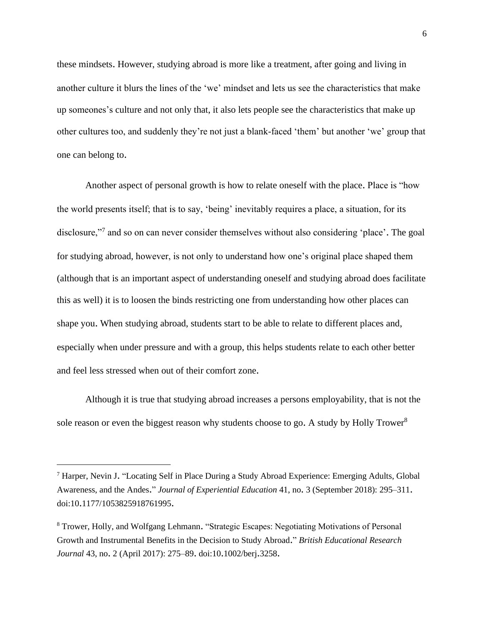these mindsets. However, studying abroad is more like a treatment, after going and living in another culture it blurs the lines of the 'we' mindset and lets us see the characteristics that make up someones's culture and not only that, it also lets people see the characteristics that make up other cultures too, and suddenly they're not just a blank-faced 'them' but another 'we' group that one can belong to.

Another aspect of personal growth is how to relate oneself with the place. Place is "how the world presents itself; that is to say, 'being' inevitably requires a place, a situation, for its disclosure,"<sup>7</sup> and so on can never consider themselves without also considering 'place'. The goal for studying abroad, however, is not only to understand how one's original place shaped them (although that is an important aspect of understanding oneself and studying abroad does facilitate this as well) it is to loosen the binds restricting one from understanding how other places can shape you. When studying abroad, students start to be able to relate to different places and, especially when under pressure and with a group, this helps students relate to each other better and feel less stressed when out of their comfort zone.

Although it is true that studying abroad increases a persons employability, that is not the sole reason or even the biggest reason why students choose to go. A study by Holly Trower<sup>8</sup>

<sup>7</sup> Harper, Nevin J. "Locating Self in Place During a Study Abroad Experience: Emerging Adults, Global Awareness, and the Andes." *Journal of Experiential Education* 41, no. 3 (September 2018): 295–311. doi:10.1177/1053825918761995.

<sup>8</sup> Trower, Holly, and Wolfgang Lehmann. "Strategic Escapes: Negotiating Motivations of Personal Growth and Instrumental Benefits in the Decision to Study Abroad." *British Educational Research Journal* 43, no. 2 (April 2017): 275–89. doi:10.1002/berj.3258.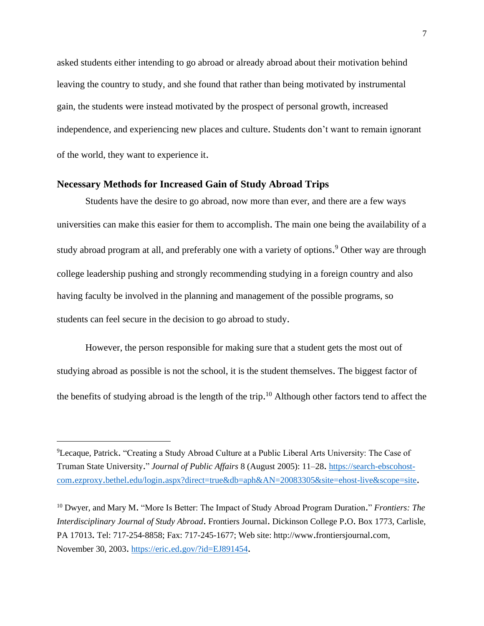asked students either intending to go abroad or already abroad about their motivation behind leaving the country to study, and she found that rather than being motivated by instrumental gain, the students were instead motivated by the prospect of personal growth, increased independence, and experiencing new places and culture. Students don't want to remain ignorant of the world, they want to experience it.

# **Necessary Methods for Increased Gain of Study Abroad Trips**

Students have the desire to go abroad, now more than ever, and there are a few ways universities can make this easier for them to accomplish. The main one being the availability of a study abroad program at all, and preferably one with a variety of options. <sup>9</sup> Other way are through college leadership pushing and strongly recommending studying in a foreign country and also having faculty be involved in the planning and management of the possible programs, so students can feel secure in the decision to go abroad to study.

However, the person responsible for making sure that a student gets the most out of studying abroad as possible is not the school, it is the student themselves. The biggest factor of the benefits of studying abroad is the length of the trip.<sup>10</sup> Although other factors tend to affect the

<sup>9</sup>Lecaque, Patrick. "Creating a Study Abroad Culture at a Public Liberal Arts University: The Case of Truman State University." *Journal of Public Affairs* 8 (August 2005): 11–28. [https://search-ebscohost](https://search-ebscohost-com.ezproxy.bethel.edu/login.aspx?direct=true&db=aph&AN=20083305&site=ehost-live&scope=site)com.ezproxy.bethel.edu/login.[aspx?direct=true&db=aph&AN=20083305&site=ehost-live&scope=site](https://search-ebscohost-com.ezproxy.bethel.edu/login.aspx?direct=true&db=aph&AN=20083305&site=ehost-live&scope=site).

<sup>10</sup> Dwyer, and Mary M. "More Is Better: The Impact of Study Abroad Program Duration." *Frontiers: The Interdisciplinary Journal of Study Abroad*. Frontiers Journal. Dickinson College P.O. Box 1773, Carlisle, PA 17013. Tel: 717-254-8858; Fax: 717-245-1677; Web site: http://www.frontiersjournal.com, November 30, 2003. https://eric.ed.[gov/?id=EJ891454](https://eric.ed.gov/?id=EJ891454).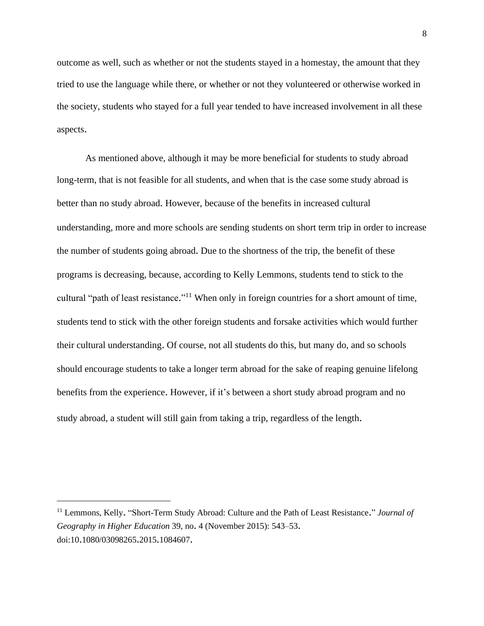outcome as well, such as whether or not the students stayed in a homestay, the amount that they tried to use the language while there, or whether or not they volunteered or otherwise worked in the society, students who stayed for a full year tended to have increased involvement in all these aspects.

As mentioned above, although it may be more beneficial for students to study abroad long-term, that is not feasible for all students, and when that is the case some study abroad is better than no study abroad. However, because of the benefits in increased cultural understanding, more and more schools are sending students on short term trip in order to increase the number of students going abroad. Due to the shortness of the trip, the benefit of these programs is decreasing, because, according to Kelly Lemmons, students tend to stick to the cultural "path of least resistance."<sup>11</sup> When only in foreign countries for a short amount of time, students tend to stick with the other foreign students and forsake activities which would further their cultural understanding. Of course, not all students do this, but many do, and so schools should encourage students to take a longer term abroad for the sake of reaping genuine lifelong benefits from the experience. However, if it's between a short study abroad program and no study abroad, a student will still gain from taking a trip, regardless of the length.

<sup>11</sup> Lemmons, Kelly. "Short-Term Study Abroad: Culture and the Path of Least Resistance." *Journal of Geography in Higher Education* 39, no. 4 (November 2015): 543–53. doi:10.1080/03098265.2015.1084607.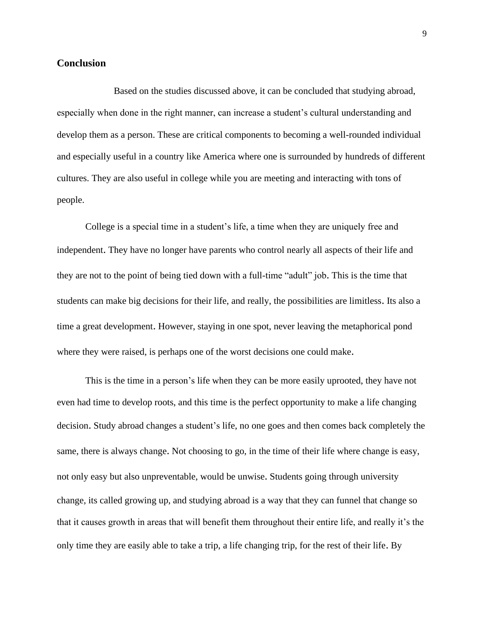# **Conclusion**

Based on the studies discussed above, it can be concluded that studying abroad, especially when done in the right manner, can increase a student's cultural understanding and develop them as a person. These are critical components to becoming a well-rounded individual and especially useful in a country like America where one is surrounded by hundreds of different cultures. They are also useful in college while you are meeting and interacting with tons of people.

College is a special time in a student's life, a time when they are uniquely free and independent. They have no longer have parents who control nearly all aspects of their life and they are not to the point of being tied down with a full-time "adult" job. This is the time that students can make big decisions for their life, and really, the possibilities are limitless. Its also a time a great development. However, staying in one spot, never leaving the metaphorical pond where they were raised, is perhaps one of the worst decisions one could make.

This is the time in a person's life when they can be more easily uprooted, they have not even had time to develop roots, and this time is the perfect opportunity to make a life changing decision. Study abroad changes a student's life, no one goes and then comes back completely the same, there is always change. Not choosing to go, in the time of their life where change is easy, not only easy but also unpreventable, would be unwise. Students going through university change, its called growing up, and studying abroad is a way that they can funnel that change so that it causes growth in areas that will benefit them throughout their entire life, and really it's the only time they are easily able to take a trip, a life changing trip, for the rest of their life. By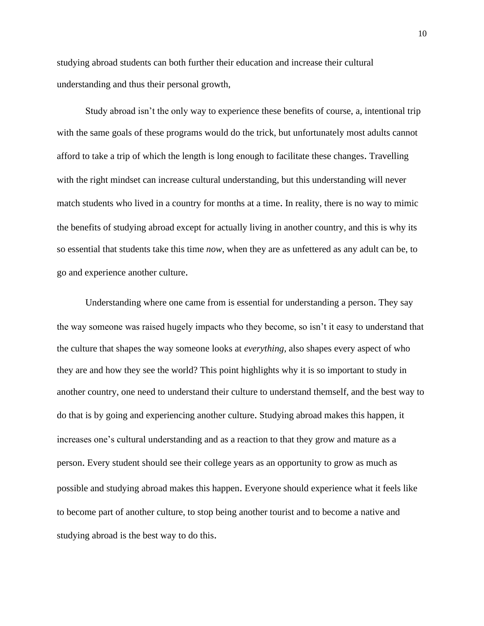studying abroad students can both further their education and increase their cultural understanding and thus their personal growth,

Study abroad isn't the only way to experience these benefits of course, a, intentional trip with the same goals of these programs would do the trick, but unfortunately most adults cannot afford to take a trip of which the length is long enough to facilitate these changes. Travelling with the right mindset can increase cultural understanding, but this understanding will never match students who lived in a country for months at a time. In reality, there is no way to mimic the benefits of studying abroad except for actually living in another country, and this is why its so essential that students take this time *now*, when they are as unfettered as any adult can be, to go and experience another culture.

Understanding where one came from is essential for understanding a person. They say the way someone was raised hugely impacts who they become, so isn't it easy to understand that the culture that shapes the way someone looks at *everything,* also shapes every aspect of who they are and how they see the world? This point highlights why it is so important to study in another country, one need to understand their culture to understand themself, and the best way to do that is by going and experiencing another culture. Studying abroad makes this happen, it increases one's cultural understanding and as a reaction to that they grow and mature as a person. Every student should see their college years as an opportunity to grow as much as possible and studying abroad makes this happen. Everyone should experience what it feels like to become part of another culture, to stop being another tourist and to become a native and studying abroad is the best way to do this.

10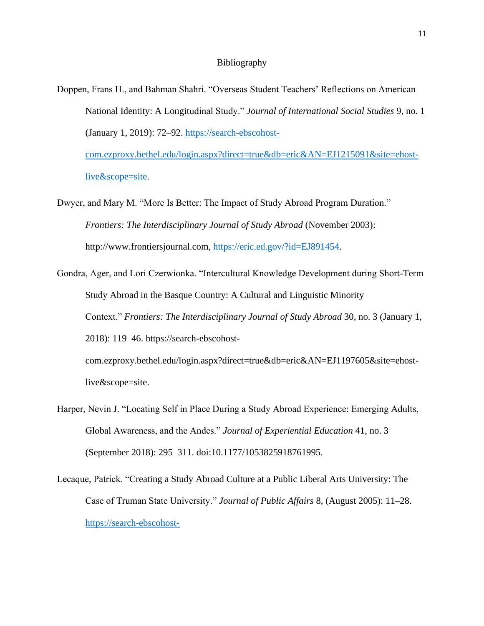#### Bibliography

- Doppen, Frans H., and Bahman Shahri. "Overseas Student Teachers' Reflections on American National Identity: A Longitudinal Study." *Journal of International Social Studies* 9, no. 1 (January 1, 2019): 72–92. [https://search-ebscohost](https://search-ebscohost-com.ezproxy.bethel.edu/login.aspx?direct=true&db=eric&AN=EJ1215091&site=ehost-live&scope=site)[com.ezproxy.bethel.edu/login.aspx?direct=true&db=eric&AN=EJ1215091&site=ehost](https://search-ebscohost-com.ezproxy.bethel.edu/login.aspx?direct=true&db=eric&AN=EJ1215091&site=ehost-live&scope=site)[live&scope=site.](https://search-ebscohost-com.ezproxy.bethel.edu/login.aspx?direct=true&db=eric&AN=EJ1215091&site=ehost-live&scope=site)
- Dwyer, and Mary M. "More Is Better: The Impact of Study Abroad Program Duration." *Frontiers: The Interdisciplinary Journal of Study Abroad* (November 2003): http://www.frontiersjournal.com, [https://eric.ed.gov/?id=EJ891454.](https://eric.ed.gov/?id=EJ891454)
- Gondra, Ager, and Lori Czerwionka. "Intercultural Knowledge Development during Short-Term Study Abroad in the Basque Country: A Cultural and Linguistic Minority Context." *Frontiers: The Interdisciplinary Journal of Study Abroad* 30, no. 3 (January 1, 2018): 119–46. https://search-ebscohostcom.ezproxy.bethel.edu/login.aspx?direct=true&db=eric&AN=EJ1197605&site=ehostlive&scope=site.
- Harper, Nevin J. "Locating Self in Place During a Study Abroad Experience: Emerging Adults, Global Awareness, and the Andes." *Journal of Experiential Education* 41, no. 3 (September 2018): 295–311. doi:10.1177/1053825918761995.
- Lecaque, Patrick. "Creating a Study Abroad Culture at a Public Liberal Arts University: The Case of Truman State University." *Journal of Public Affairs* 8, (August 2005): 11–28. [https://search-ebscohost-](https://search-ebscohost-com.ezproxy.bethel.edu/login.aspx?direct=true&db=aph&AN=20083305&site=ehost-live&scope=site)